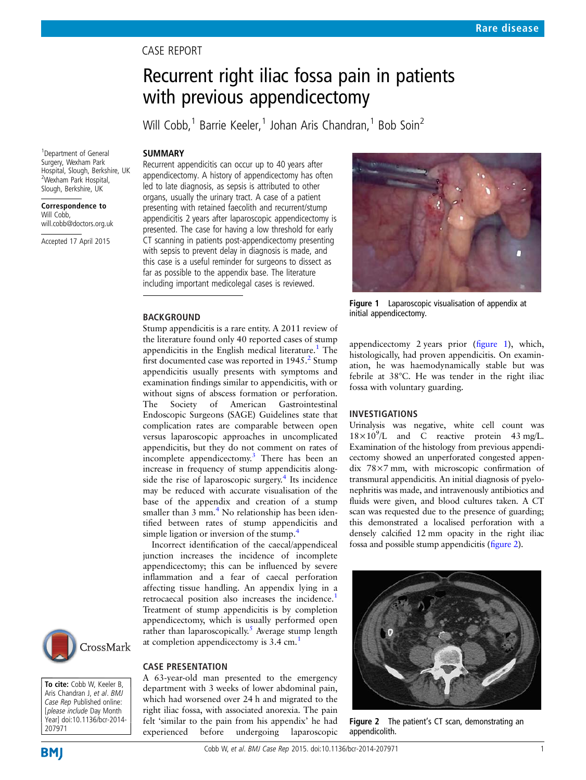## CASE REPORT

# Recurrent right iliac fossa pain in patients with previous appendicectomy

Will Cobb,<sup>1</sup> Barrie Keeler,<sup>1</sup> Johan Aris Chandran,<sup>1</sup> Bob Soin<sup>2</sup>

### **SUMMARY**

1 Department of General Surgery, Wexham Park Hospital, Slough, Berkshire, UK 2 Wexham Park Hospital, Slough, Berkshire, UK

Correspondence to

Will Cobb, will.cobb@doctors.org.uk

Accepted 17 April 2015

Recurrent appendicitis can occur up to 40 years after appendicectomy. A history of appendicectomy has often led to late diagnosis, as sepsis is attributed to other organs, usually the urinary tract. A case of a patient presenting with retained faecolith and recurrent/stump appendicitis 2 years after laparoscopic appendicectomy is presented. The case for having a low threshold for early CT scanning in patients post-appendicectomy presenting with sepsis to prevent delay in diagnosis is made, and this case is a useful reminder for surgeons to dissect as far as possible to the appendix base. The literature including important medicolegal cases is reviewed.

#### BACKGROUND

Stump appendicitis is a rare entity. A 2011 review of the literature found only 40 reported cases of stump appendicitis in the English medical literature.<sup>1</sup> The first documented case was reported in  $1945<sup>2</sup>$  $1945<sup>2</sup>$  $1945<sup>2</sup>$  Stump appendicitis usually presents with symptoms and examination findings similar to appendicitis, with or without signs of abscess formation or perforation. The Society of American Gastrointestinal Endoscopic Surgeons (SAGE) Guidelines state that complication rates are comparable between open versus laparoscopic approaches in uncomplicated appendicitis, but they do not comment on rates of incomplete appendicectomy.[3](#page-1-0) There has been an increase in frequency of stump appendicitis alongside the rise of laparoscopic surgery. $4$  Its incidence may be reduced with accurate visualisation of the base of the appendix and creation of a stump smaller than  $3 \text{ mm}$ .<sup>[4](#page-1-0)</sup> No relationship has been identified between rates of stump appendicitis and simple ligation or inversion of the stump.<sup>[4](#page-1-0)</sup>

Incorrect identification of the caecal/appendiceal junction increases the incidence of incomplete appendicectomy; this can be influenced by severe inflammation and a fear of caecal perforation affecting tissue handling. An appendix lying in a retrocaecal position also increases the incidence.<sup>[1](#page-1-0)</sup> Treatment of stump appendicitis is by completion appendicectomy, which is usually performed open rather than laparoscopically.<sup>[5](#page-1-0)</sup> Average stump length at completion appendicectomy is 3.4 cm.[1](#page-1-0)



A 63-year-old man presented to the emergency department with 3 weeks of lower abdominal pain, which had worsened over 24 h and migrated to the right iliac fossa, with associated anorexia. The pain felt 'similar to the pain from his appendix' he had experienced before undergoing laparoscopic



Figure 1 Laparoscopic visualisation of appendix at initial appendicectomy.

appendicectomy 2 years prior (figure 1), which, histologically, had proven appendicitis. On examination, he was haemodynamically stable but was febrile at 38°C. He was tender in the right iliac fossa with voluntary guarding.

#### INVESTIGATIONS

Urinalysis was negative, white cell count was  $18 \times 10^9$ /L and C reactive protein 43 mg/L. Examination of the histology from previous appendicectomy showed an unperforated congested appendix 78×7 mm, with microscopic confirmation of transmural appendicitis. An initial diagnosis of pyelonephritis was made, and intravenously antibiotics and fluids were given, and blood cultures taken. A CT scan was requested due to the presence of guarding; this demonstrated a localised perforation with a densely calcified 12 mm opacity in the right iliac fossa and possible stump appendicitis (figure 2).



Figure 2 The patient's CT scan, demonstrating an appendicolith.



To cite: Cobb W, Keeler B, Aris Chandran J, et al. BMJ Case Rep Published online: [please include Day Month Year] doi:10.1136/bcr-2014- 207971

**BMJ**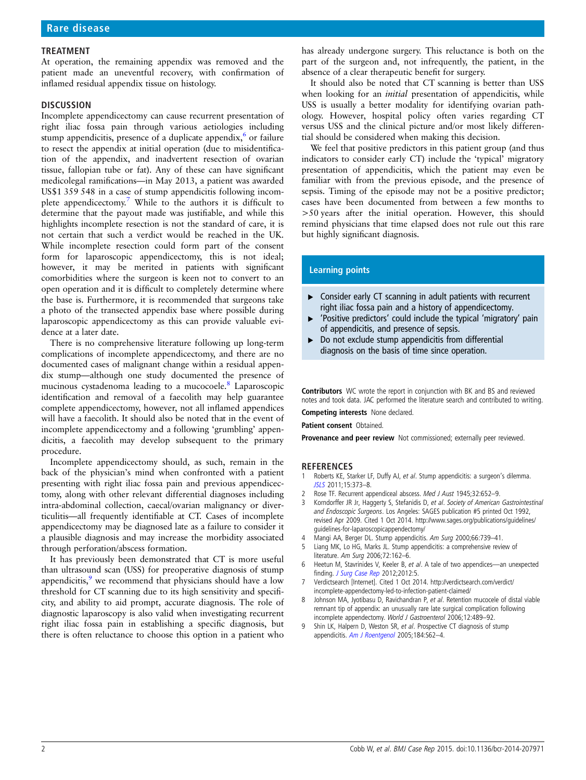#### <span id="page-1-0"></span>TREATMENT

At operation, the remaining appendix was removed and the patient made an uneventful recovery, with confirmation of inflamed residual appendix tissue on histology.

#### **DISCUSSION**

Incomplete appendicectomy can cause recurrent presentation of right iliac fossa pain through various aetiologies including stump appendicitis, presence of a duplicate appendix, $6$  or failure to resect the appendix at initial operation (due to misidentification of the appendix, and inadvertent resection of ovarian tissue, fallopian tube or fat). Any of these can have significant medicolegal ramifications—in May 2013, a patient was awarded US\$1 359 548 in a case of stump appendicitis following incomplete appendicectomy.<sup>7</sup> While to the authors it is difficult to determine that the payout made was justifiable, and while this highlights incomplete resection is not the standard of care, it is not certain that such a verdict would be reached in the UK. While incomplete resection could form part of the consent form for laparoscopic appendicectomy, this is not ideal; however, it may be merited in patients with significant comorbidities where the surgeon is keen not to convert to an open operation and it is difficult to completely determine where the base is. Furthermore, it is recommended that surgeons take a photo of the transected appendix base where possible during laparoscopic appendicectomy as this can provide valuable evidence at a later date.

There is no comprehensive literature following up long-term complications of incomplete appendicectomy, and there are no documented cases of malignant change within a residual appendix stump—although one study documented the presence of mucinous cystadenoma leading to a mucocoele.8 Laparoscopic identification and removal of a faecolith may help guarantee complete appendicectomy, however, not all inflamed appendices will have a faecolith. It should also be noted that in the event of incomplete appendicectomy and a following 'grumbling' appendicitis, a faecolith may develop subsequent to the primary procedure.

Incomplete appendicectomy should, as such, remain in the back of the physician's mind when confronted with a patient presenting with right iliac fossa pain and previous appendicectomy, along with other relevant differential diagnoses including intra-abdominal collection, caecal/ovarian malignancy or diverticulitis—all frequently identifiable at CT. Cases of incomplete appendicectomy may be diagnosed late as a failure to consider it a plausible diagnosis and may increase the morbidity associated through perforation/abscess formation.

It has previously been demonstrated that CT is more useful than ultrasound scan (USS) for preoperative diagnosis of stump appendicitis, $9$  we recommend that physicians should have a low threshold for CT scanning due to its high sensitivity and specificity, and ability to aid prompt, accurate diagnosis. The role of diagnostic laparoscopy is also valid when investigating recurrent right iliac fossa pain in establishing a specific diagnosis, but there is often reluctance to choose this option in a patient who

has already undergone surgery. This reluctance is both on the part of the surgeon and, not infrequently, the patient, in the absence of a clear therapeutic benefit for surgery.

It should also be noted that CT scanning is better than USS when looking for an *initial* presentation of appendicitis, while USS is usually a better modality for identifying ovarian pathology. However, hospital policy often varies regarding CT versus USS and the clinical picture and/or most likely differential should be considered when making this decision.

We feel that positive predictors in this patient group (and thus indicators to consider early CT) include the 'typical' migratory presentation of appendicitis, which the patient may even be familiar with from the previous episode, and the presence of sepsis. Timing of the episode may not be a positive predictor; cases have been documented from between a few months to >50 years after the initial operation. However, this should remind physicians that time elapsed does not rule out this rare but highly significant diagnosis.

#### Learning points

- ▶ Consider early CT scanning in adult patients with recurrent right iliac fossa pain and a history of appendicectomy.
- ▸ 'Positive predictors' could include the typical 'migratory' pain of appendicitis, and presence of sepsis.
- $\triangleright$  Do not exclude stump appendicitis from differential diagnosis on the basis of time since operation.

Contributors WC wrote the report in conjunction with BK and BS and reviewed notes and took data. JAC performed the literature search and contributed to writing.

Competing interests None declared.

Patient consent Obtained.

Provenance and peer review Not commissioned; externally peer reviewed.

#### **REFERENCES**

- 1 Roberts KE, Starker LF, Duffy AJ, et al. Stump appendicitis: a surgeon's dilemma. [JSLS](http://dx.doi.org/10.4293/108680811X13125733356954) 2011;15:373–8.
- 2 Rose TF. Recurrent appendiceal abscess. Med J Aust 1945;32:652-9.
- 3 Korndorffer JR Jr, Haggerty S, Stefanidis D, et al. Society of American Gastrointestinal and Endoscopic Surgeons. Los Angeles: SAGES publication #5 printed Oct 1992, revised Apr 2009. Cited 1 Oct 2014. [http://www.sages.org/publications/guidelines/](http://www.sages.org/publications/guidelines/guidelines-for-laparoscopicappendectomy/) [guidelines-for-laparoscopicappendectomy/](http://www.sages.org/publications/guidelines/guidelines-for-laparoscopicappendectomy/)
- 4 Mangi AA, Berger DL. Stump appendicitis. Am Surg 2000;66:739–41.
- 5 Liang MK, Lo HG, Marks JL. Stump appendicitis: a comprehensive review of literature. Am Surg 2006;72:162–6.
- 6 Heetun M, Stavrinides V, Keeler B, et al. A tale of two appendices—an unexpected finding. [J Surg Case Rep](http://dx.doi.org/10.1093/jscr/2012.3.5) 2012;2012:5.
- Verdictsearch [Internet]. Cited 1 Oct 2014. [http://verdictsearch.com/verdict/](http://verdictsearch.com/verdict/incomplete-appendectomy-led-to-infection-patient-claimed/) [incomplete-appendectomy-led-to-infection-patient-claimed/](http://verdictsearch.com/verdict/incomplete-appendectomy-led-to-infection-patient-claimed/)
- 8 Johnson MA, Jyotibasu D, Ravichandran P, et al. Retention mucocele of distal viable remnant tip of appendix: an unusually rare late surgical complication following incomplete appendectomy. World J Gastroenterol 2006;12:489–92.
- 9 Shin LK, Halpern D, Weston SR, et al. Prospective CT diagnosis of stump appendicitis. [Am J Roentgenol](http://dx.doi.org/10.2214/ajr.184.3_supplement.01840s62) 2005;184:S62–4.